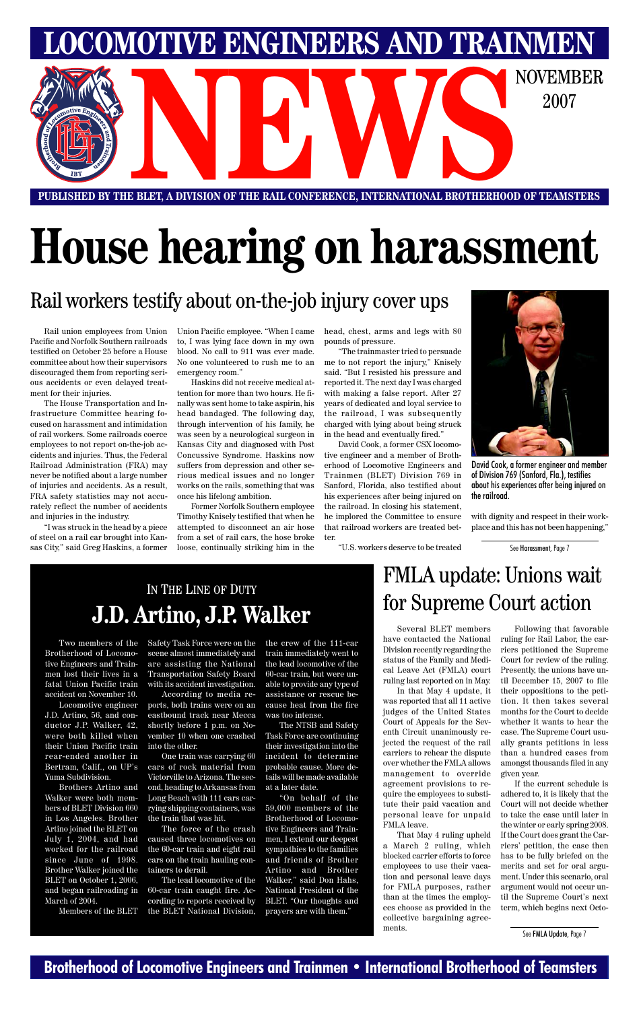#### **Brotherhood of Locomotive Engineers and Trainmen • International Brotherhood of Teamsters**

**LOCOMOTIVE ENGINEERS AND TRAINMEN**

E BLET, A DIVISION OF THE RAIL CONFERENCE, INTERNATIONAL BROTHERHOOD OF TEAMSTERS 2007

**PUBLISHED BY THE BLET, A DIVISION OF THE RAIL CONFERENCE, INTERNATIONAL BROTHERHOOD OF TEAMSTERS**

# **House hearing on harassment**

#### Rail workers testify about on-the-job injury cover ups

See FMLA Update, Page 7

Rail union employees from Union Pacific and Norfolk Southern railroads testified on October 25 before a House committee about how their supervisors discouraged them from reporting serious accidents or even delayed treatment for their injuries.

The House Transportation and Infrastructure Committee hearing focused on harassment and intimidation of rail workers. Some railroads coerce employees to not report on-the-job accidents and injuries. Thus, the Federal Railroad Administration (FRA) may never be notified about a large number of injuries and accidents. As a result, FRA safety statistics may not accurately reflect the number of accidents and injuries in the industry.

"I was struck in the head by a piece of steel on a rail car brought into Kansas City," said Greg Haskins, a former Union Pacific employee. "When I came to, I was lying face down in my own blood. No call to 911 was ever made. No one volunteered to rush me to an emergency room."

Haskins did not receive medical attention for more than two hours. He finally was sent home to take aspirin, his head bandaged. The following day, through intervention of his family, he was seen by a neurological surgeon in Kansas City and diagnosed with Post Concussive Syndrome. Haskins now suffers from depression and other serious medical issues and no longer works on the rails, something that was once his lifelong ambition.

Former Norfolk Southern employee Timothy Knisely testified that when he attempted to disconnect an air hose from a set of rail cars, the hose broke loose, continually striking him in the head, chest, arms and legs with 80 pounds of pressure.

"The trainmaster tried to persuade me to not report the injury," Knisely said. "But I resisted his pressure and reported it. The next day I was charged with making a false report. After 27 years of dedicated and loyal service to the railroad, I was subsequently charged with lying about being struck in the head and eventually fired."

David Cook, a former CSX locomotive engineer and a member of Brotherhood of Locomotive Engineers and Trainmen (BLET) Division 769 in Sanford, Florida, also testified about his experiences after being injured on the railroad. In closing his statement, he implored the Committee to ensure that railroad workers are treated better.

"U.S. workers deserve to be treated

Several BLET members have contacted the National Division recently regarding the status of the Family and Medical Leave Act (FMLA) court ruling last reported on in May.

In that May 4 update, it was reported that all 11 active judges of the United States Court of Appeals for the Seventh Circuit unanimously rejected the request of the rail carriers to rehear the dispute over whether the FMLA allows management to override agreement provisions to require the employees to substitute their paid vacation and personal leave for unpaid FMLA leave. That May 4 ruling upheld a March 2 ruling, which blocked carrier efforts to force employees to use their vacation and personal leave days for FMLA purposes, rather than at the times the employees choose as provided in the collective bargaining agreements.

Following that favorable ruling for Rail Labor, the carriers petitioned the Supreme Court for review of the ruling. Presently, the unions have until December 15, 2007 to file their oppositions to the petition. It then takes several months for the Court to decide whether it wants to hear the case. The Supreme Court usually grants petitions in less than a hundred cases from amongst thousands filed in any given year. If the current schedule is adhered to, it is likely that the Court will not decide whether to take the case until later in the winter or early spring 2008. If the Court does grant the Carriers' petition, the case then has to be fully briefed on the merits and set for oral argument. Under this scenario, oral argument would not occur until the Supreme Court's next term, which begins next Octo-

with dignity and respect in their workplace and this has not been happening,"



David Cook, a former engineer and member of Division 769 (Sanford, Fla.), testifies about his experiences after being injured on the railroad.

See Harassment, Page 7

#### IN THE LINE OF DUTY **J.D. Artino, J.P. Walker**

# FMLA update: Unions wait for Supreme Court action

Two members of the Brotherhood of Locomotive Engineers and Trainmen lost their lives in a fatal Union Pacific train accident on November 10.

Locomotive engineer J.D. Artino, 56, and conductor J.P. Walker, 42, were both killed when their Union Pacific train rear-ended another in Bertram, Calif., on UP's Yuma Subdivision.

Brothers Artino and Walker were both members of BLET Division 660 in Los Angeles. Brother Artino joined the BLET on July 1, 2004, and had worked for the railroad since June of 1998. Brother Walker joined the BLET on October 1, 2006, and began railroading in March of 2004.

Members of the BLET

Safety Task Force were on the scene almost immediately and are assisting the National Transportation Safety Board with its accident investigation.

According to media reports, both trains were on an eastbound track near Mecca shortly before 1 p.m. on November 10 when one crashed

into the other.

One train was carrying 60 cars of rock material from Victorville to Arizona. The second, heading to Arkansas from Long Beach with 111 cars carrying shipping containers, was the train that was hit.

The force of the crash caused three locomotives on the 60-car train and eight rail cars on the train hauling containers to derail.

The lead locomotive of the 60-car train caught fire. According to reports received by the BLET National Division,

the crew of the 111-car train immediately went to the lead locomotive of the 60-car train, but were unable to provide any type of assistance or rescue because heat from the fire was too intense.

The NTSB and Safety Task Force are continuing their investigation into the incident to determine probable cause. More details will be made available at a later date. "On behalf of the 59,000 members of the Brotherhood of Locomotive Engineers and Trainmen, I extend our deepest sympathies to the families and friends of Brother Artino and Brother Walker," said Don Hahs, National President of the BLET. "Our thoughts and prayers are with them."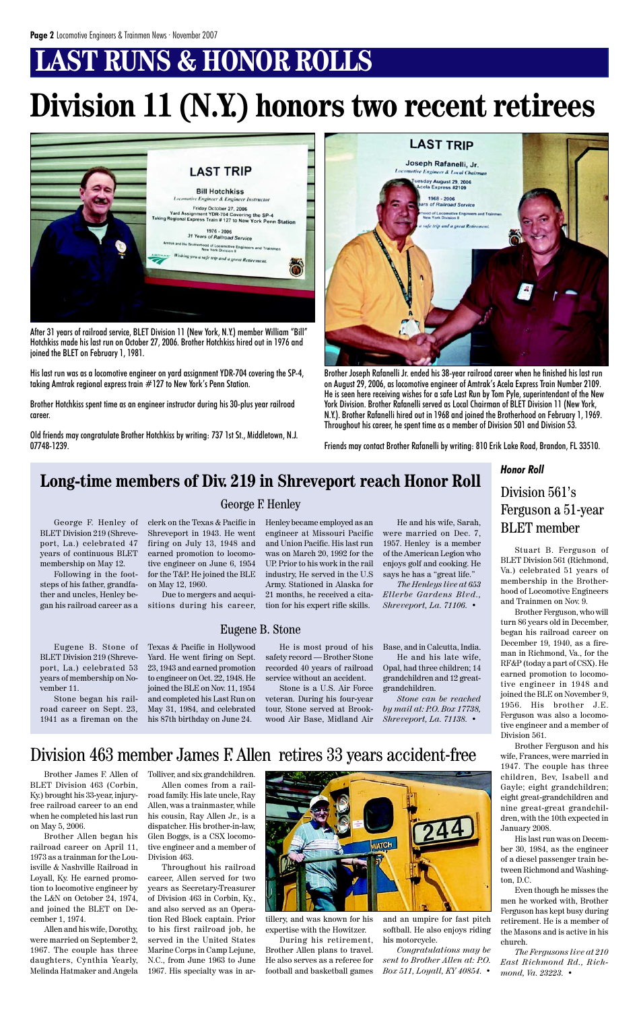# **LAST RUNS & HONOR ROLLS**

# **Division 11 (N.Y.) honors two recent retirees**



After 31 years of railroad service, BLET Division 11 (New York, N.Y.) member William "Bill" Hotchkiss made his last run on October 27, 2006. Brother Hotchkiss hired out in 1976 and joined the BLET on February 1, 1981.

His last run was as a locomotive engineer on yard assignment YDR-704 covering the SP-4, taking Amtrak regional express train #127 to New York's Penn Station.

Brother Hotchkiss spent time as an engineer instructor during his 30-plus year railroad career.

Old friends may congratulate Brother Hotchkiss by writing: 737 1st St., Middletown, N.J. 07748-1239.



Brother Joseph Rafanelli Jr. ended his 38-year railroad career when he finished his last run on August 29, 2006, as locomotive engineer of Amtrak's Acela Express Train Number 2109. He is seen here receiving wishes for a safe Last Run by Tom Pyle, superintendant of the New York Division. Brother Rafanelli served as Local Chairman of BLET Division 11 (New York, N.Y.). Brother Rafanelli hired out in 1968 and joined the Brotherhood on February 1, 1969. Throughout his career, he spent time as a member of Division 501 and Division 53.

Friends may contact Brother Rafanelli by writing: 810 Erik Lake Road, Brandon, FL 33510.

Stuart B. Ferguson of BLET Division 561 (Richmond, Va.) celebrated 51 years of membership in the Brotherhood of Locomotive Engineers and Trainmen on Nov. 9.

Brother Ferguson, who will turn 86 years old in December, began his railroad career on December 19, 1940, as a fireman in Richmond, Va., for the RF&P (today a part of CSX). He earned promotion to locomotive engineer in 1948 and joined the BLE on November 9, 1956. His brother J.E. Ferguson was also a locomotive engineer and a member of Division 561. Brother Ferguson and his wife, Frances, were married in 1947. The couple has three children, Bev, Isabell and Gayle; eight grandchildren; eight great-grandchildren and nine great-great grandchildren, with the 10th expected in January 2008. His last run was on December 30, 1984, as the engineer of a diesel passenger train between Richmond and Washington, D.C. Even though he misses the men he worked with, Brother Ferguson has kept busy during retirement. He is a member of the Masons and is active in his church.

*The Fergusons live at 210 East Richmond Rd., Richmond, Va. 23223.* •

#### Division 561's Ferguson a 51-year BLET member

Brother James F. Allen of BLET Division 463 (Corbin, Ky.) brought his 33-year, injuryfree railroad career to an end when he completed his last run on May 5, 2006.

Brother Allen began his railroad career on April 11, 1973 as a trainman for the Louisville & Nashville Railroad in Loyall, Ky. He earned promotion to locomotive engineer by the L&N on October 24, 1974, and joined the BLET on December 1, 1974.

Allen and his wife, Dorothy, were married on September 2, 1967. The couple has three daughters, Cynthia Yearly, Melinda Hatmaker and Angela Tolliver, and six grandchildren. Allen comes from a railroad family. His late uncle, Ray

Allen, was a trainmaster, while his cousin, Ray Allen Jr., is a dispatcher. His brother-in-law, Glen Boggs, is a CSX locomotive engineer and a member of Division 463.

Throughout his railroad career, Allen served for two years as Secretary-Treasurer of Division 463 in Corbin, Ky., and also served as an Operation Red Block captain. Prior to his first railroad job, he served in the United States Marine Corps in Camp Lejune, N.C., from June 1963 to June 1967. His specialty was in ar-



#### Division 463 member James F. Allen retires 33 years accident-free

tillery, and was known for his expertise with the Howitzer.

During his retirement, Brother Allen plans to travel. He also serves as a referee for football and basketball games and an umpire for fast pitch softball. He also enjoys riding his motorcycle.

*Congratulations may be sent to Brother Allen at: P.O. Box 511, Loyall, KY 40854.* •

#### *Honor Roll*

George F. Henley of BLET Division 219 (Shreveport, La.) celebrated 47 years of continuous BLET membership on May 12.

Following in the footsteps of his father, grandfather and uncles, Henley began his railroad career as a clerk on the Texas & Pacific in Shreveport in 1943. He went firing on July 13, 1948 and earned promotion to locomotive engineer on June 6, 1954 for the T&P. He joined the BLE on May 12, 1960.

Due to mergers and acquisitions during his career,

Henley became employed as an engineer at Missouri Pacific and Union Pacific. His last run was on March 20, 1992 for the UP. Prior to his work in the rail industry, He served in the U.S Army. Stationed in Alaska for 21 months, he received a citation for his expert rifle skills.

Eugene B. Stone of BLET Division 219 (Shreveport, La.) celebrated 53 years of membership on November 11.

Stone began his railroad career on Sept. 23, 1941 as a fireman on the

He and his wife, Sarah, were married on Dec. 7, 1957. Henley is a member of the American Legion who enjoys golf and cooking. He says he has a "great life."

*The Henleys live at 653 Ellerbe Gardens Blvd., Shreveport, La. 71106.* •

Texas & Pacific in Hollywood Yard. He went firing on Sept. 23, 1943 and earned promotion to engineer on Oct. 22, 1948. He joined the BLE on Nov. 11, 1954 and completed his Last Run on May 31, 1984, and celebrated his 87th birthday on June 24.

He is most proud of his safety record — Brother Stone recorded 40 years of railroad service without an accident.

Stone is a U.S. Air Force veteran. During his four-year tour, Stone served at Brookwood Air Base, Midland Air Base, and in Calcutta, India.

He and his late wife, Opal, had three children; 14 grandchildren and 12 greatgrandchildren.

*Stone can be reached by mail at: P.O. Box 17738, Shreveport, La. 71138.* •

### **Long-time members of Div. 219 in Shreveport reach Honor Roll**

George F. Henley

Eugene B. Stone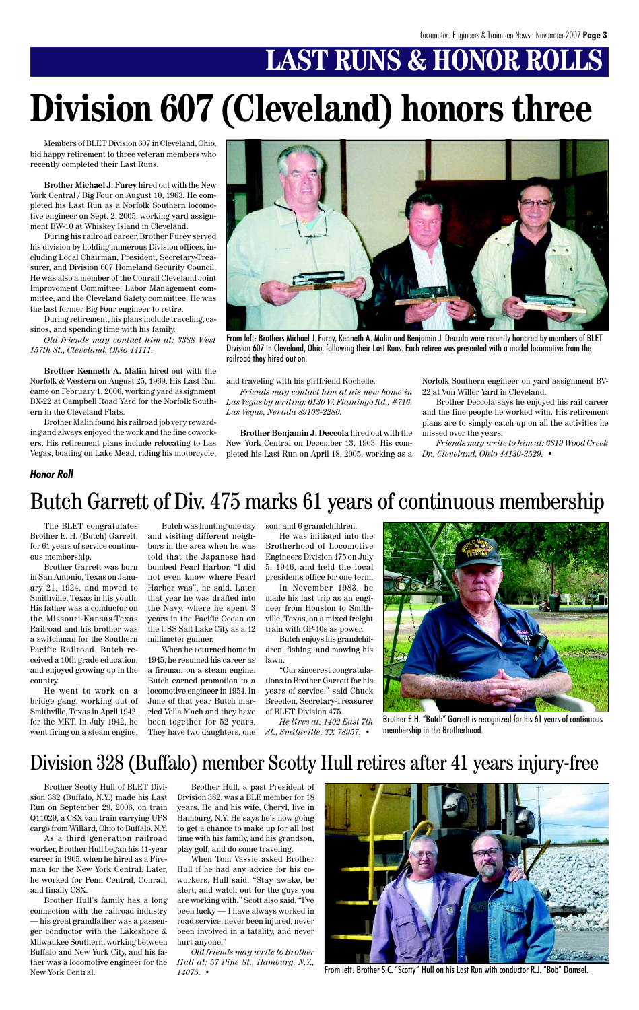# **LAST RUNS & HONOR ROLLS**

Members of BLET Division 607 in Cleveland, Ohio, bid happy retirement to three veteran members who recently completed their Last Runs.

**Brother Michael J. Furey** hired out with the New York Central / Big Four on August 10, 1963. He completed his Last Run as a Norfolk Southern locomotive engineer on Sept. 2, 2005, working yard assignment BW-10 at Whiskey Island in Cleveland.

During his railroad career, Brother Furey served his division by holding numerous Division offices, including Local Chairman, President, Secretary-Treasurer, and Division 607 Homeland Security Council. He was also a member of the Conrail Cleveland Joint Improvement Committee, Labor Management committee, and the Cleveland Safety committee. He was the last former Big Four engineer to retire.

During retirement, his plans include traveling, casinos, and spending time with his family.

*Old friends may contact him at: 3388 West 157th St., Cleveland, Ohio 44111.*

**Brother Kenneth A. Malin** hired out with the Norfolk & Western on August 25, 1969. His Last Run came on February 1, 2006, working yard assignment BX-22 at Campbell Road Yard for the Norfolk Southern in the Cleveland Flats.

Brother Malin found his railroad job very rewarding and always enjoyed the work and the fine coworkers. His retirement plans include relocating to Las Vegas, boating on Lake Mead, riding his motorcycle, and traveling with his girlfriend Rochelle.

*Friends may contact him at his new home in Las Vegas by writing: 6130 W. Flamingo Rd., #716, Las Vegas, Nevada 89103-2280.*

**Brother Benjamin J. Deccola** hired out with the New York Central on December 13, 1963. His completed his Last Run on April 18, 2005, working as a Norfolk Southern engineer on yard assignment BV-22 at Von Willer Yard in Cleveland.

Brother Deccola says he enjoyed his rail career and the fine people he worked with. His retirement plans are to simply catch up on all the activities he missed over the years.

*Friends may write to him at: 6819 Wood Creek Dr., Cleveland, Ohio 44130-3529.* •



From left: Brothers Michael J. Furey, Kenneth A. Malin and Benjamin J. Deccola were recently honored by members of BLET Division 607 in Cleveland, Ohio, following their Last Runs. Each retiree was presented with a model locomotive from the railroad they hired out on.

The BLET congratulates Brother E. H. (Butch) Garrett, for 61 years of service continuous membership.

Brother Garrett was born in San Antonio, Texas on January 21, 1924, and moved to Smithville, Texas in his youth. His father was a conductor on the Missouri-Kansas-Texas Railroad and his brother was a switchman for the Southern Pacific Railroad. Butch received a 10th grade education, and enjoyed growing up in the country.

He went to work on a bridge gang, working out of Smithville, Texas in April 1942, for the MKT. In July 1942, he went firing on a steam engine.

Butch was hunting one day and visiting different neighbors in the area when he was told that the Japanese had bombed Pearl Harbor, "I did not even know where Pearl Harbor was", he said. Later that year he was drafted into the Navy, where he spent 3 years in the Pacific Ocean on the USS Salt Lake City as a 42 millimeter gunner.

When he returned home in 1945, he resumed his career as a fireman on a steam engine. Butch earned promotion to a locomotive engineer in 1954. In June of that year Butch married Vella Mach and they have been together for 52 years. They have two daughters, one son, and 6 grandchildren.

He was initiated into the Brotherhood of Locomotive Engineers Division 475 on July 5, 1946, and held the local presidents office for one term.

In November 1983, he made his last trip as an engineer from Houston to Smithville, Texas, on a mixed freight train with GP-40s as power.

Butch enjoys his grandchildren, fishing, and mowing his lawn.

"Our sincerest congratulations to Brother Garrett for his years of service," said Chuck Breeden, Secretary-Treasurer of BLET Division 475.

*He lives at: 1402 East 7th St., Smithville, TX 78957.* •

# **Division 607 (Cleveland) honors three**



Brother E.H. "Butch" Garrett is recognized for his 61 years of continuous membership in the Brotherhood.

### Butch Garrett of Div. 475 marks 61 years of continuous membership

#### *Honor Roll*

Brother Scotty Hull of BLET Division 382 (Buffalo, N.Y.) made his Last Run on September 29, 2006, on train Q11029, a CSX van train carrying UPS cargo from Willard, Ohio to Buffalo, N.Y.

As a third generation railroad worker, Brother Hull began his 41-year career in 1965, when he hired as a Fireman for the New York Central. Later, he worked for Penn Central, Conrail, and finally CSX.

Brother Hull's family has a long connection with the railroad industry

— his great grandfather was a passenger conductor with the Lakeshore & Milwaukee Southern, working between Buffalo and New York City, and his father was a locomotive engineer for the New York Central.

Brother Hull, a past President of Division 382, was a BLE member for 18 years. He and his wife, Cheryl, live in Hamburg, N.Y. He says he's now going to get a chance to make up for all lost time with his family, and his grandson, play golf, and do some traveling.

When Tom Vassie asked Brother Hull if he had any advice for his coworkers, Hull said: "Stay awake, be alert, and watch out for the guys you are working with." Scott also said, "I've been lucky — I have always worked in road service, never been injured, never been involved in a fatality, and never hurt anyone."

*Old friends may write to Brother Hull at: 57 Pine St., Hamburg, N.Y., 14075.* •

### Division 328 (Buffalo) member Scotty Hull retires after 41 years injury-free



From left: Brother S.C. "Scotty" Hull on his Last Run with conductor R.J. "Bob" Damsel.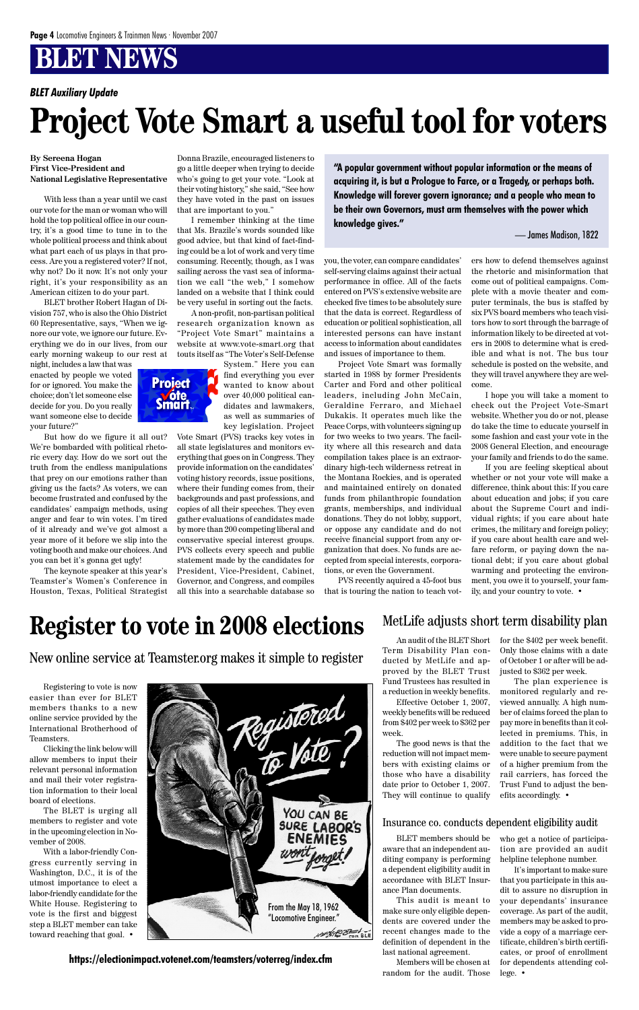# **BLET NEWS**

Registering to vote is now easier than ever for BLET members thanks to a new online service provided by the International Brotherhood of Teamsters.

Clicking the link below will allow members to input their relevant personal information and mail their voter registration information to their local board of elections.

The BLET is urging all members to register and vote in the upcoming election in November of 2008.

With a labor-friendly Congress currently serving in Washington, D.C., it is of the utmost importance to elect a labor-friendly candidate for the White House. Registering to vote is the first and biggest step a BLET member can take toward reaching that goal. •

**https://electionimpact.votenet.com/teamsters/voterreg/index.cfm**

# **Register to vote in 2008 elections**

New online service at Teamster.org makes it simple to register



An audit of the BLET Short Term Disability Plan conducted by MetLife and approved by the BLET Trust Fund Trustees has resulted in a reduction in weekly benefits.

Effective October 1, 2007, weekly benefits will be reduced from \$402 per week to \$362 per week.

The good news is that the reduction will not impact members with existing claims or those who have a disability date prior to October 1, 2007. They will continue to qualify

BLET members should be aware that an independent auditing company is performing a dependent eligibility audit in accordance with BLET Insurance Plan documents.

This audit is meant to make sure only eligible dependents are covered under the recent changes made to the definition of dependent in the last national agreement.

Members will be chosen at random for the audit. Those

#### MetLife adjusts short term disability plan

for the \$402 per week benefit. Only those claims with a date of October 1 or after will be adjusted to \$362 per week.

The plan experience is monitored regularly and reviewed annually. A high number of claims forced the plan to pay more in benefits than it collected in premiums. This, in addition to the fact that we were unable to secure payment of a higher premium from the rail carriers, has forced the Trust Fund to adjust the benefits accordingly. •

#### Insurance co. conducts dependent eligibility audit

who get a notice of participation are provided an audit helpline telephone number.

It's important to make sure that you participate in this audit to assure no disruption in your dependants' insurance coverage. As part of the audit, members may be asked to provide a copy of a marriage certificate, children's birth certificates, or proof of enrollment for dependents attending college. •

#### **By Sereena Hogan First Vice-President and National Legislative Representative**

With less than a year until we cast our vote for the man or woman who will hold the top political office in our country, it's a good time to tune in to the whole political process and think about what part each of us plays in that process. Are you a registered voter? If not, why not? Do it now. It's not only your right, it's your responsibility as an American citizen to do your part.

BLET brother Robert Hagan of Division 757, who is also the Ohio District 60 Representative, says, "When we ignore our vote, we ignore our future. Everything we do in our lives, from our early morning wakeup to our rest at

night, includes a law that was enacted by people we voted for or ignored. You make the choice; don't let someone else decide for you. Do you really want someone else to decide your future?"

But how do we figure it all out? We're bombarded with political rhetoric every day. How do we sort out the truth from the endless manipulations that prey on our emotions rather than giving us the facts? As voters, we can become frustrated and confused by the candidates' campaign methods, using anger and fear to win votes. I'm tired of it already and we've got almost a year more of it before we slip into the voting booth and make our choices. And you can bet it's gonna get ugly!

The keynote speaker at this year's Teamster's Women's Conference in Houston, Texas, Political Strategist

Donna Brazile, encouraged listeners to go a little deeper when trying to decide who's going to get your vote. "Look at their voting history," she said, "See how they have voted in the past on issues that are important to you."

I remember thinking at the time that Ms. Brazile's words sounded like good advice, but that kind of fact-finding could be a lot of work and very time consuming. Recently, though, as I was sailing across the vast sea of information we call "the web," I somehow landed on a website that I think could be very useful in sorting out the facts.

A non-profit, non-partisan political research organization known as "Project Vote Smart" maintains a website at www.vote-smart.org that touts itself as "The Voter's Self-Defense



find everything you ever wanted to know about over 40,000 political candidates and lawmakers, as well as summaries of key legislation. Project

Vote Smart (PVS) tracks key votes in all state legislatures and monitors everything that goes on in Congress. They provide information on the candidates' voting history records, issue positions, where their funding comes from, their backgrounds and past professions, and copies of all their speeches. They even gather evaluations of candidates made by more than 200 competing liberal and conservative special interest groups. PVS collects every speech and public statement made by the candidates for President, Vice-President, Cabinet, Governor, and Congress, and compiles all this into a searchable database so

you, the voter, can compare candidates' self-serving claims against their actual performance in office. All of the facts entered on PVS's extensive website are checked five times to be absolutely sure that the data is correct. Regardless of education or political sophistication, all interested persons can have instant access to information about candidates and issues of importance to them.

Project Vote Smart was formally started in 1988 by former Presidents Carter and Ford and other political leaders, including John McCain, Geraldine Ferraro, and Michael Dukakis. It operates much like the Peace Corps, with volunteers signing up for two weeks to two years. The facility where all this research and data compilation takes place is an extraordinary high-tech wilderness retreat in the Montana Rockies, and is operated and maintained entirely on donated funds from philanthropic foundation grants, memberships, and individual donations. They do not lobby, support, or oppose any candidate and do not receive financial support from any organization that does. No funds are accepted from special interests, corporations, or even the Government.

PVS recently aquired a 45-foot bus that is touring the nation to teach voters how to defend themselves against the rhetoric and misinformation that come out of political campaigns. Complete with a movie theater and computer terminals, the bus is staffed by six PVS board members who teach visitors how to sort through the barrage of information likely to be directed at voters in 2008 to determine what is credible and what is not. The bus tour schedule is posted on the website, and they will travel anywhere they are welcome.

I hope you will take a moment to check out the Project Vote-Smart website. Whether you do or not, please do take the time to educate yourself in some fashion and cast your vote in the 2008 General Election, and encourage your family and friends to do the same.

If you are feeling skeptical about whether or not your vote will make a difference, think about this: If you care about education and jobs; if you care about the Supreme Court and individual rights; if you care about hate crimes, the military and foreign policy; if you care about health care and welfare reform, or paying down the national debt; if you care about global warming and protecting the environment, you owe it to yourself, your family, and your country to vote. •

# **Project Vote Smart a useful tool for voters**

*BLET Auxiliary Update*

**"A popular government without popular information or the means of acquiring it, is but a Prologue to Farce, or a Tragedy, or perhaps both. Knowledge will forever govern ignorance; and a people who mean to be their own Governors, must arm themselves with the power which knowledge gives."**

— James Madison, 1822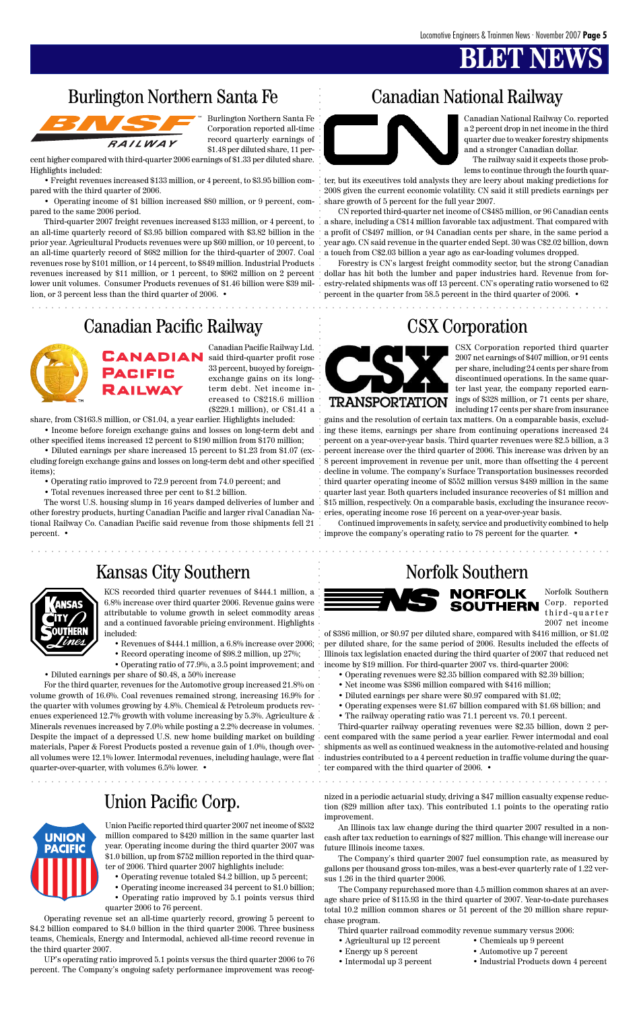# **BLET NEW**

#### Union Pacific Corp.



aaaaaaaaaaaaaaaaaaaaaaaaaaaaaaaaaaaaaaaaaaaaaaaaaaaaaaaaaaaaaaaaaaaaaaaa aaaaaaaaaaaaaaa

. . . . . . . . . .

aaaaaaaaaaaaaaaaaaaa aaaaaaaaaaaaaaaa aaaaaaaaaaaaaaaaaa

aaaaaaaaaaaaaaaaaaaaaaaaaaaaaaaaaaaaaaaaaaaaaaaaaaaaaaaaaaaaaaaaaa aaaaaaaaaaaaaaaaaaaaa

Burlington Northern Santa Fe Corporation reported all-time record quarterly earnings of \$1.48 per diluted share, 11 per-

cent higher compared with third-quarter 2006 earnings of \$1.33 per diluted share. Highlights included:

• Freight revenues increased \$133 million, or 4 percent, to \$3.95 billion compared with the third quarter of 2006.

• Operating income of \$1 billion increased \$80 million, or 9 percent, compared to the same 2006 period.

prior year. Agricultural Products revenues were up \$60 million, or 10 percent, to . year ago. CN said revenue in the quarter ended Sept. 30 was C\$2.02 billion, down CN reported third-quarter net income of C\$485 million, or 96 Canadian cents a share, including a C\$14 million favorable tax adjustment. That compared with a profit of C\$497 million, or 94 Canadian cents per share, in the same period a a touch from C\$2.03 billion a year ago as car-loading volumes dropped.

Third-quarter 2007 freight revenues increased \$133 million, or 4 percent, to an all-time quarterly record of \$3.95 billion compared with \$3.82 billion in the an all-time quarterly record of \$682 million for the third-quarter of 2007. Coal revenues rose by \$101 million, or 14 percent, to \$849 million. Industrial Products revenues increased by \$11 million, or 1 percent, to \$962 million on 2 percent lower unit volumes. Consumer Products revenues of \$1.46 billion were \$39 million, or 3 percent less than the third quarter of 2006. •

Canadian National Railway Co. reported a 2 percent drop in net income in the third quarter due to weaker forestry shipments

and a stronger Canadian dollar.

#### Burlington Northern Santa Fe Canadian National Railway



The railway said it expects those problems to continue through the fourth quar-

ter, but its executives told analysts they are leery about making predictions for 2008 given the current economic volatility. CN said it still predicts earnings per share growth of 5 percent for the full year 2007.

aaaaaaaaaaaaaaaaaaaaaaaaaaaaaaaaaaaaaaaaaaaaaaaaaaaaaaaaaaaaaaaaaaaaaaaaaaaaaaaaaaaaaaa aaaaaaaaaaaaaaaaaaaaaaaaaaaaaaa cluding foreign exchange gains and losses on long-term debt and other specified 8 percent improvement in revenue per unit, more than offsetting the 4 percent gains and the resolution of certain tax matters. On a comparable basis, excluding these items, earnings per share from continuing operations increased 24 percent on a year-over-year basis. Third quarter revenues were \$2.5 billion, a 3 percent increase over the third quarter of 2006. This increase was driven by an decline in volume. The company's Surface Transportation businesses recorded third quarter operating income of \$552 million versus \$489 million in the same quarter last year. Both quarters included insurance recoveries of \$1 million and \$15 million, respectively. On a comparable basis, excluding the insurance recoveries, operating income rose 16 percent on a year-over-year basis.

Forestry is CN's largest freight commodity sector, but the strong Canadian dollar has hit both the lumber and paper industries hard. Revenue from forestry-related shipments was off 13 percent. CN's operating ratio worsened to 62 percent in the quarter from 58.5 percent in the third quarter of 2006. •

#### Canadian Pacific Railway CSX Corporation



Canadian Pacific Railway Ltd. said third-quarter profit rose 33 percent, buoyed by foreignexchange gains on its longterm debt. Net income increased to C\$218.6 million (\$229.1 million), or C\$1.41 a

share, from C\$163.8 million, or C\$1.04, a year earlier. Highlights included:

• Income before foreign exchange gains and losses on long-term debt and other specified items increased 12 percent to \$190 million from \$170 million;

• Diluted earnings per share increased 15 percent to \$1.23 from \$1.07 (exitems);

- Operating ratio improved to 72.9 percent from 74.0 percent; and
- Total revenues increased three per cent to \$1.2 billion.

The worst U.S. housing slump in 16 years damped deliveries of lumber and other forestry products, hurting Canadian Pacific and larger rival Canadian National Railway Co. Canadian Pacific said revenue from those shipments fell 21 percent. •

#### Kansas City Southern Norfolk Southern



CSX Corporation reported third quarter 2007 net earnings of \$407 million, or 91 cents per share, including 24 cents per share from discontinued operations. In the same quarter last year, the company reported earnings of \$328 million, or 71 cents per share, including 17 cents per share from insurance

Continued improvements in safety, service and productivity combined to help improve the company's operating ratio to 78 percent for the quarter. •



KCS recorded third quarter revenues of \$444.1 million, a 6.8% increase over third quarter 2006. Revenue gains were attributable to volume growth in select commodity areas and a continued favorable pricing environment. Highlights included:

- Revenues of \$444.1 million, a 6.8% increase over 2006;
- Record operating income of \$98.2 million, up 27%;

• Operating ratio of 77.9%, a 3.5 point improvement; and

• Diluted earnings per share of \$0.48, a 50% increase For the third quarter, revenues for the Automotive group increased 21.8% on volume growth of 16.6%. Coal revenues remained strong, increasing 16.9% for the quarter with volumes growing by 4.8%. Chemical & Petroleum products revenues experienced 12.7% growth with volume increasing by 5.3%. Agriculture  $\&$ Minerals revenues increased by 7.0% while posting a 2.2% decrease in volumes. Despite the impact of a depressed U.S. new home building market on building



materials, Paper & Forest Products posted a revenue gain of 1.0%, though overall volumes were 12.1% lower. Intermodal revenues, including haulage, were flat • industries contributed to a 4 percent reduction in traffic volume during the quarquarter-over-quarter, with volumes 6.5% lower. •

Norfolk Southern Corp. reported SOUTHERN third-quarter 2007 net income

of \$386 million, or \$0.97 per diluted share, compared with \$416 million, or \$1.02 per diluted share, for the same period of 2006. Results included the effects of Illinois tax legislation enacted during the third quarter of 2007 that reduced net income by \$19 million. For third-quarter 2007 vs. third-quarter 2006:

- Operating revenues were \$2.35 billion compared with \$2.39 billion;
- Net income was \$386 million compared with \$416 million;
- Diluted earnings per share were \$0.97 compared with \$1.02;
- Operating expenses were \$1.67 billion compared with \$1.68 billion; and
- The railway operating ratio was 71.1 percent vs. 70.1 percent.

Third-quarter railway operating revenues were \$2.35 billion, down 2 percent compared with the same period a year earlier. Fewer intermodal and coal

shipments as well as continued weakness in the automotive-related and housing ter compared with the third quarter of 2006. •

Union Pacific reported third quarter 2007 net income of \$532 million compared to \$420 million in the same quarter last year. Operating income during the third quarter 2007 was \$1.0 billion, up from \$752 million reported in the third quarter of 2006. Third quarter 2007 highlights include:

- Operating revenue totaled \$4.2 billion, up 5 percent;
- Operating income increased 34 percent to \$1.0 billion;
- Operating ratio improved by 5.1 points versus third quarter 2006 to 76 percent.

Operating revenue set an all-time quarterly record, growing 5 percent to \$4.2 billion compared to \$4.0 billion in the third quarter 2006. Three business teams, Chemicals, Energy and Intermodal, achieved all-time record revenue in the third quarter 2007.

UP's operating ratio improved 5.1 points versus the third quarter 2006 to 76 percent. The Company's ongoing safety performance improvement was recog-

nized in a periodic actuarial study, driving a \$47 million casualty expense reduction (\$29 million after tax). This contributed 1.1 points to the operating ratio improvement.

An Illinois tax law change during the third quarter 2007 resulted in a noncash after tax reduction to earnings of \$27 million. This change will increase our future Illinois income taxes.

The Company's third quarter 2007 fuel consumption rate, as measured by gallons per thousand gross ton-miles, was a best-ever quarterly rate of 1.22 versus 1.26 in the third quarter 2006.

The Company repurchased more than 4.5 million common shares at an average share price of \$115.93 in the third quarter of 2007. Year-to-date purchases total 10.2 million common shares or 51 percent of the 20 million share repurchase program.

Third quarter railroad commodity revenue summary versus 2006:

- Agricultural up 12 percent Chemicals up 9 percent
- 
- 
- 
- Energy up 8 percent Automotive up 7 percent
- Intermodal up 3 percent Industrial Products down 4 percent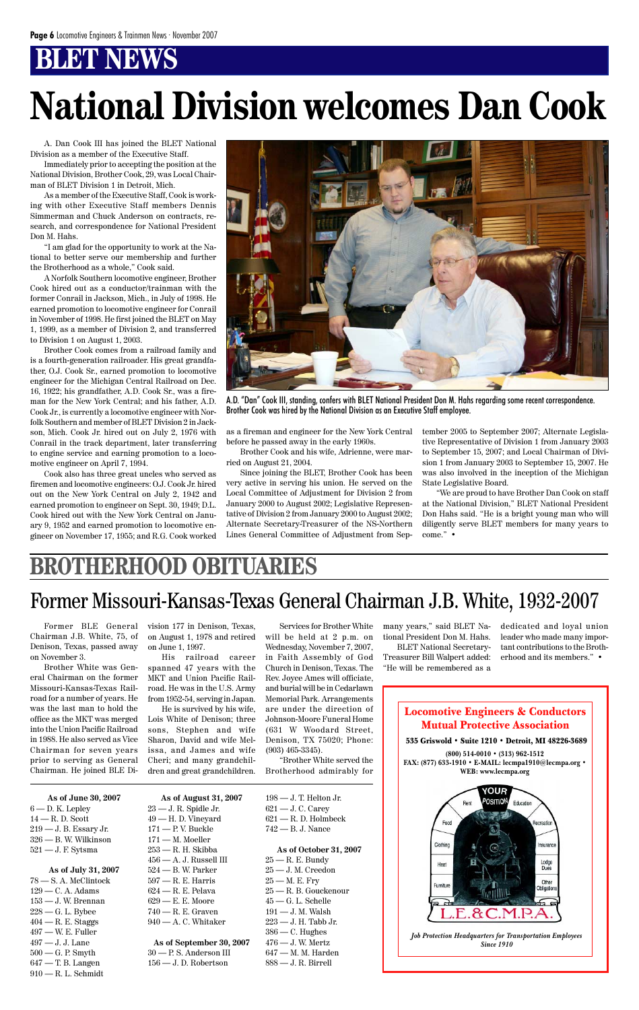# **BT NEWS**

#### Locomotive Engineers & Conductors Mutual Protective Association

 $6 - D$ . K. Lepley 14 — R. D. Scott 219 — J. B. Essary Jr. 326 — B. W. Wilkinson 521 — J. F. Sytsma

535 Griswold • Suite 1210 • Detroit, MI 48226-3689 **(800) 514-0010 • (313) 962-1512 FAX: (877) 633-1910 • E-MAIL: lecmpa1910@lecmpa.org • WEB: www.lecmpa.org** /OUR POSITION Education Food ecreatio Clothing nsurance Lodge<br>Dues Heat Other Furnitur Obligatio *Job Protection Headquarters for Transportation Employees Since 1910*

#### **As of June 30, 2007**

#### **As of July 31, 2007**

198 — J. T. Helton Jr. 621 — J. C. Carey 621 — R. D. Holmbeck 742 — B. J. Nance

78 — S. A. McClintock 129 — C. A. Adams  $153 - J$ . W. Brennan 228 — G. L. Bybee 404 — R. E. Staggs 497 — W. E. Fuller 497 — J. J. Lane 500 — G. P. Smyth 647 — T. B. Langen 910 — R. L. Schmidt

 $25 - R$ . E. Bundy 25 — J. M. Creedon  $25 - M$ . E. Fry 25 — R. B. Gouckenour  $45$  — G. L. Schelle  $191$  — J. M. Walsh 223 — J. H. Tabb Jr.  $386 - C$ . Hughes 476 — J. W. Mertz 647 — M. M. Harden 888 — J. R. Birrell

**As of August 31, 2007** 23 — J. R. Spidle Jr. 49 — H. D. Vineyard 171 — P. V. Buckle 171 — M. Moeller 253 — R. H. Skibba  $456 - A$ . J. Russell III 524 — B. W. Parker 597 — R. E. Harris 624 — R. E. Pelava 629 — E. E. Moore 740 — R. E. Graven 940 — A. C. Whitaker

**As of September 30, 2007** 30 — P. S. Anderson III 156 — J. D. Robertson

#### **As of October 31, 2007**

A. Dan Cook III has joined the BLET National Division as a member of the Executive Staff.

Immediately prior to accepting the position at the National Division, Brother Cook, 29, was Local Chairman of BLET Division 1 in Detroit, Mich.

As a member of the Executive Staff, Cook is working with other Executive Staff members Dennis Simmerman and Chuck Anderson on contracts, research, and correspondence for National President Don M. Hahs.

"I am glad for the opportunity to work at the National to better serve our membership and further the Brotherhood as a whole," Cook said.

A Norfolk Southern locomotive engineer, Brother Cook hired out as a conductor/trainman with the former Conrail in Jackson, Mich., in July of 1998. He earned promotion to locomotive engineer for Conrail in November of 1998. He first joined the BLET on May 1, 1999, as a member of Division 2, and transferred to Division 1 on August 1, 2003.

Brother Cook comes from a railroad family and is a fourth-generation railroader. His great grandfather, O.J. Cook Sr., earned promotion to locomotive engineer for the Michigan Central Railroad on Dec. 16, 1922; his grandfather, A.D. Cook Sr., was a fireman for the New York Central; and his father, A.D. Cook Jr., is currently a locomotive engineer with Norfolk Southern and member of BLET Division 2 in Jackson, Mich. Cook Jr. hired out on July 2, 1976 with Conrail in the track department, later transferring to engine service and earning promotion to a locomotive engineer on April 7, 1994.

Cook also has three great uncles who served as firemen and locomotive engineers: O.J. Cook Jr. hired out on the New York Central on July 2, 1942 and earned promotion to engineer on Sept. 30, 1949; D.L. Cook hired out with the New York Central on January 9, 1952 and earned promotion to locomotive engineer on November 17, 1955; and R.G. Cook worked as a fireman and engineer for the New York Central before he passed away in the early 1960s.

Brother Cook and his wife, Adrienne, were married on August 21, 2004.

Since joining the BLET, Brother Cook has been very active in serving his union. He served on the Local Committee of Adjustment for Division 2 from January 2000 to August 2002; Legislative Representative of Division 2 from January 2000 to August 2002; Alternate Secretary-Treasurer of the NS-Northern Lines General Committee of Adjustment from September 2005 to September 2007; Alternate Legislative Representative of Division 1 from January 2003 to September 15, 2007; and Local Chairman of Division 1 from January 2003 to September 15, 2007. He was also involved in the inception of the Michigan State Legislative Board.

"We are proud to have Brother Dan Cook on staff at the National Division," BLET National President Don Hahs said. "He is a bright young man who will diligently serve BLET members for many years to come." •



A.D. "Dan" Cook III, standing, confers with BLET National President Don M. Hahs regarding some recent correspondence. Brother Cook was hired by the National Division as an Executive Staff employee.

## **BROTHERHOOD OBITUARIES**

Former BLE General Chairman J.B. White, 75, of Denison, Texas, passed away on November 3.

Brother White was General Chairman on the former Missouri-Kansas-Texas Railroad for a number of years. He was the last man to hold the office as the MKT was merged into the Union Pacific Railroad in 1988. He also served as Vice

Chairman for seven years prior to serving as General Chairman. He joined BLE Division 177 in Denison, Texas, on August 1, 1978 and retired on June 1, 1997.

His railroad career spanned 47 years with the MKT and Union Pacific Railroad. He was in the U.S. Army from 1952-54, serving in Japan.

He is survived by his wife, Lois White of Denison; three sons, Stephen and wife Sharon, David and wife Melissa, and James and wife Cheri; and many grandchildren and great grandchildren.

Services for Brother White will be held at 2 p.m. on Wednesday, November 7, 2007, in Faith Assembly of God Church in Denison, Texas. The Rev. Joyce Ames will officiate, and burial will be in Cedarlawn Memorial Park. Arrangements are under the direction of Johnson-Moore Funeral Home (631 W Woodard Street, Denison, TX 75020; Phone:

(903) 465-3345).

"Brother White served the Brotherhood admirably for many years," said BLET National President Don M. Hahs.

BLET National Secretary-Treasurer Bill Walpert added: "He will be remembered as a

dedicated and loyal union leader who made many important contributions to the Brotherhood and its members." •

## Former Missouri-Kansas-Texas General Chairman J.B. White, 1932-2007

# **National Division welcomes Dan Cook**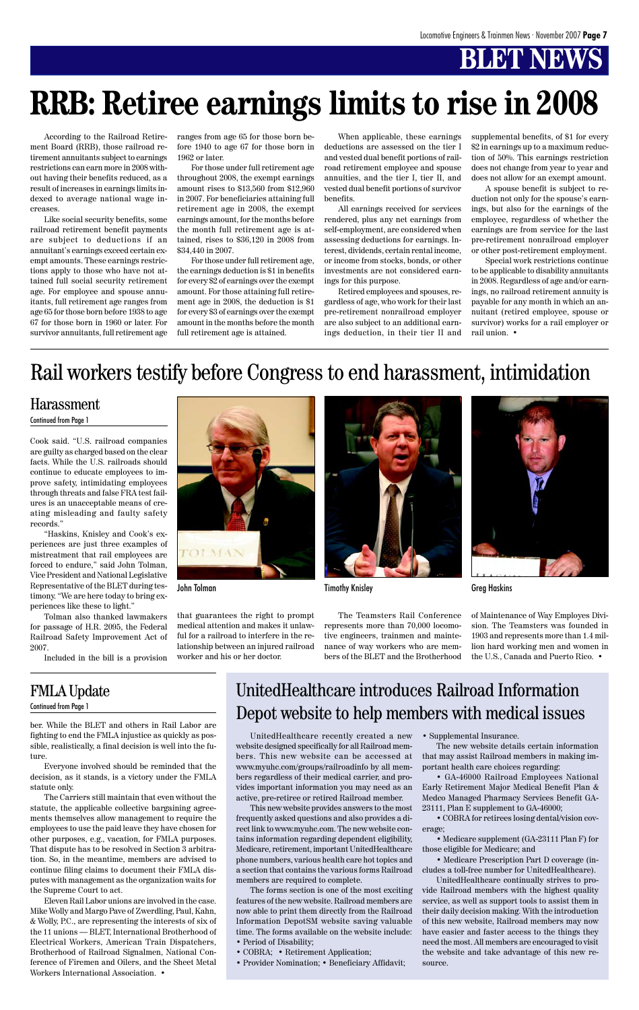# **BLET NEWS**

Cook said. "U.S. railroad companies are guilty as charged based on the clear facts. While the U.S. railroads should continue to educate employees to improve safety, intimidating employees through threats and false FRA test failures is an unacceptable means of creating misleading and faulty safety records."

"Haskins, Knisley and Cook's experiences are just three examples of mistreatment that rail employees are forced to endure," said John Tolman, Vice President and National Legislative Representative of the BLET during testimony. "We are here today to bring experiences like these to light."

Tolman also thanked lawmakers for passage of H.R. 2095, the Federal Railroad Safety Improvement Act of 2007.

Included in the bill is a provision

# TOLMA

ber. While the BLET and others in Rail Labor are fighting to end the FMLA injustice as quickly as pos-

sible, realistically, a final decision is well into the future.

Everyone involved should be reminded that the decision, as it stands, is a victory under the FMLA statute only.

The Carriers still maintain that even without the statute, the applicable collective bargaining agreements themselves allow management to require the employees to use the paid leave they have chosen for other purposes, e.g., vacation, for FMLA purposes. That dispute has to be resolved in Section 3 arbitration. So, in the meantime, members are advised to continue filing claims to document their FMLA disputes with management as the organization waits for the Supreme Court to act.

Eleven Rail Labor unions are involved in the case. Mike Wolly and Margo Pave of Zwerdling, Paul, Kahn, & Wolly, P.C., are representing the interests of six of the 11 unions — BLET, International Brotherhood of Electrical Workers, American Train Dispatchers, Brotherhood of Railroad Signalmen, National Conference of Firemen and Oilers, and the Sheet Metal Workers International Association. •

According to the Railroad Retirement Board (RRB), those railroad retirement annuitants subject to earnings restrictions can earn more in 2008 without having their benefits reduced, as a result of increases in earnings limits indexed to average national wage increases.

Like social security benefits, some railroad retirement benefit payments are subject to deductions if an annuitant's earnings exceed certain exempt amounts. These earnings restrictions apply to those who have not attained full social security retirement age. For employee and spouse annuitants, full retirement age ranges from age 65 for those born before 1938 to age 67 for those born in 1960 or later. For survivor annuitants, full retirement age ranges from age 65 for those born before 1940 to age 67 for those born in 1962 or later.

For those under full retirement age throughout 2008, the exempt earnings amount rises to \$13,560 from \$12,960 in 2007. For beneficiaries attaining full retirement age in 2008, the exempt earnings amount, for the months before the month full retirement age is attained, rises to \$36,120 in 2008 from \$34,440 in 2007.

For those under full retirement age, the earnings deduction is \$1 in benefits for every \$2 of earnings over the exempt amount. For those attaining full retirement age in 2008, the deduction is \$1 for every \$3 of earnings over the exempt amount in the months before the month full retirement age is attained.

When applicable, these earnings deductions are assessed on the tier I and vested dual benefit portions of railroad retirement employee and spouse annuities, and the tier I, tier II, and vested dual benefit portions of survivor benefits.

All earnings received for services rendered, plus any net earnings from self-employment, are considered when assessing deductions for earnings. Interest, dividends, certain rental income, or income from stocks, bonds, or other investments are not considered earnings for this purpose.

Retired employees and spouses, regardless of age, who work for their last pre-retirement nonrailroad employer are also subject to an additional earnings deduction, in their tier II and supplemental benefits, of \$1 for every \$2 in earnings up to a maximum reduction of 50%. This earnings restriction does not change from year to year and does not allow for an exempt amount.

A spouse benefit is subject to reduction not only for the spouse's earnings, but also for the earnings of the employee, regardless of whether the earnings are from service for the last pre-retirement nonrailroad employer or other post-retirement employment.

Special work restrictions continue to be applicable to disability annuitants in 2008. Regardless of age and/or earnings, no railroad retirement annuity is payable for any month in which an annuitant (retired employee, spouse or survivor) works for a rail employer or rail union. •

# **RRB: Retiree earnings limits to rise in 2008**

#### Harassment

#### Continued from Page 1

that guarantees the right to prompt medical attention and makes it unlawful for a railroad to interfere in the relationship between an injured railroad worker and his or her doctor.



The Teamsters Rail Conference represents more than 70,000 locomotive engineers, trainmen and maintenance of way workers who are members of the BLET and the Brotherhood



John Tolman Timothy Knisley Timothy Knisley Creg Haskins

of Maintenance of Way Employes Division. The Teamsters was founded in 1903 and represents more than 1.4 million hard working men and women in the U.S., Canada and Puerto Rico. •

# Rail workers testify before Congress to end harassment, intimidation

#### FMLA Update

Continued from Page 1

website designed specifically for all Railroad members. This new website can be accessed at www.myuhc.com/groups/railroadinfo by all members regardless of their medical carrier, and provides important information you may need as an active, pre-retiree or retired Railroad member.

This new website provides answers to the most frequently asked questions and also provides a direct link to www.myuhc.com. The new website contains information regarding dependent eligibility, Medicare, retirement, important UnitedHealthcare phone numbers, various health care hot topics and a section that contains the various forms Railroad members are required to complete.

UnitedHealthcare recently created a new • Supplemental Insurance.

The forms section is one of the most exciting features of the new website. Railroad members are now able to print them directly from the Railroad Information DepotSM website saving valuable time. The forms available on the website include:

- Period of Disability;
- COBRA; Retirement Application;
- Provider Nomination; Beneficiary Affidavit;

The new website details certain information that may assist Railroad members in making important health care choices regarding:

• GA-46000 Railroad Employees National Early Retirement Major Medical Benefit Plan & Medco Managed Pharmacy Services Benefit GA-23111, Plan E supplement to GA-46000;

• COBRA for retirees losing dental/vision coverage;

• Medicare supplement (GA-23111 Plan F) for those eligible for Medicare; and

• Medicare Prescription Part D coverage (includes a toll-free number for UnitedHealthcare).

UnitedHealthcare continually strives to provide Railroad members with the highest quality service, as well as support tools to assist them in their daily decision making. With the introduction of this new website, Railroad members may now have easier and faster access to the things they need the most. All members are encouraged to visit the website and take advantage of this new resource.

## UnitedHealthcare introduces Railroad Information Depot website to help members with medical issues